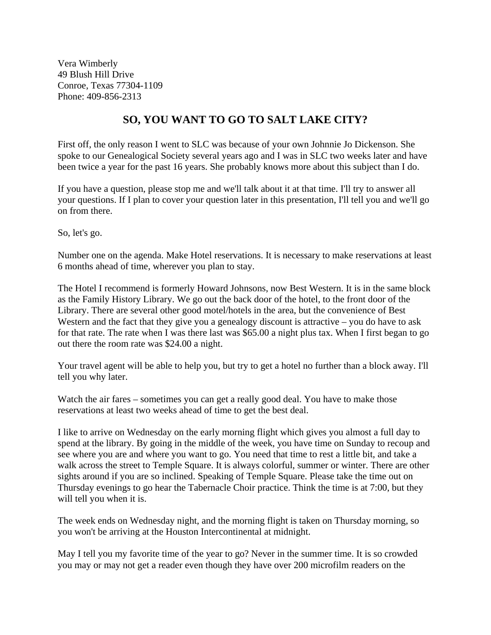Vera Wimberly 49 Blush Hill Drive Conroe, Texas 77304-1109 Phone: 409-856-2313

## **SO, YOU WANT TO GO TO SALT LAKE CITY?**

First off, the only reason I went to SLC was because of your own Johnnie Jo Dickenson. She spoke to our Genealogical Society several years ago and I was in SLC two weeks later and have been twice a year for the past 16 years. She probably knows more about this subject than I do.

If you have a question, please stop me and we'll talk about it at that time. I'll try to answer all your questions. If I plan to cover your question later in this presentation, I'll tell you and we'll go on from there.

So, let's go.

Number one on the agenda. Make Hotel reservations. It is necessary to make reservations at least 6 months ahead of time, wherever you plan to stay.

The Hotel I recommend is formerly Howard Johnsons, now Best Western. It is in the same block as the Family History Library. We go out the back door of the hotel, to the front door of the Library. There are several other good motel/hotels in the area, but the convenience of Best Western and the fact that they give you a genealogy discount is attractive – you do have to ask for that rate. The rate when I was there last was \$65.00 a night plus tax. When I first began to go out there the room rate was \$24.00 a night.

Your travel agent will be able to help you, but try to get a hotel no further than a block away. I'll tell you why later.

Watch the air fares – sometimes you can get a really good deal. You have to make those reservations at least two weeks ahead of time to get the best deal.

I like to arrive on Wednesday on the early morning flight which gives you almost a full day to spend at the library. By going in the middle of the week, you have time on Sunday to recoup and see where you are and where you want to go. You need that time to rest a little bit, and take a walk across the street to Temple Square. It is always colorful, summer or winter. There are other sights around if you are so inclined. Speaking of Temple Square. Please take the time out on Thursday evenings to go hear the Tabernacle Choir practice. Think the time is at 7:00, but they will tell you when it is.

The week ends on Wednesday night, and the morning flight is taken on Thursday morning, so you won't be arriving at the Houston Intercontinental at midnight.

May I tell you my favorite time of the year to go? Never in the summer time. It is so crowded you may or may not get a reader even though they have over 200 microfilm readers on the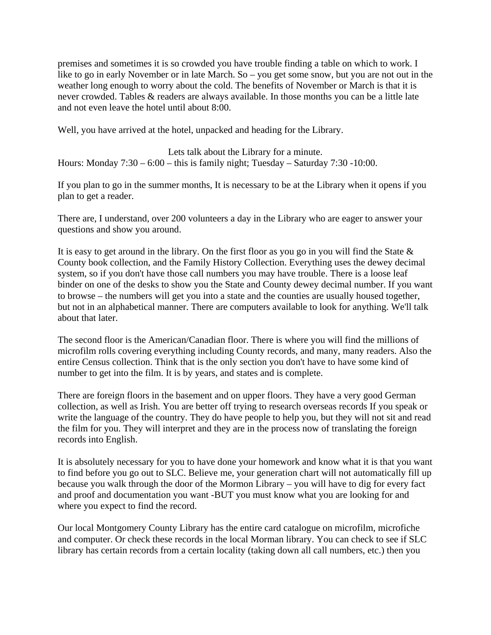premises and sometimes it is so crowded you have trouble finding a table on which to work. I like to go in early November or in late March. So – you get some snow, but you are not out in the weather long enough to worry about the cold. The benefits of November or March is that it is never crowded. Tables & readers are always available. In those months you can be a little late and not even leave the hotel until about 8:00.

Well, you have arrived at the hotel, unpacked and heading for the Library.

Lets talk about the Library for a minute. Hours: Monday  $7:30 - 6:00 -$  this is family night; Tuesday – Saturday  $7:30 - 10:00$ .

If you plan to go in the summer months, It is necessary to be at the Library when it opens if you plan to get a reader.

There are, I understand, over 200 volunteers a day in the Library who are eager to answer your questions and show you around.

It is easy to get around in the library. On the first floor as you go in you will find the State  $\&$ County book collection, and the Family History Collection. Everything uses the dewey decimal system, so if you don't have those call numbers you may have trouble. There is a loose leaf binder on one of the desks to show you the State and County dewey decimal number. If you want to browse – the numbers will get you into a state and the counties are usually housed together, but not in an alphabetical manner. There are computers available to look for anything. We'll talk about that later.

The second floor is the American/Canadian floor. There is where you will find the millions of microfilm rolls covering everything including County records, and many, many readers. Also the entire Census collection. Think that is the only section you don't have to have some kind of number to get into the film. It is by years, and states and is complete.

There are foreign floors in the basement and on upper floors. They have a very good German collection, as well as Irish. You are better off trying to research overseas records If you speak or write the language of the country. They do have people to help you, but they will not sit and read the film for you. They will interpret and they are in the process now of translating the foreign records into English.

It is absolutely necessary for you to have done your homework and know what it is that you want to find before you go out to SLC. Believe me, your generation chart will not automatically fill up because you walk through the door of the Mormon Library – you will have to dig for every fact and proof and documentation you want -BUT you must know what you are looking for and where you expect to find the record.

Our local Montgomery County Library has the entire card catalogue on microfilm, microfiche and computer. Or check these records in the local Morman library. You can check to see if SLC library has certain records from a certain locality (taking down all call numbers, etc.) then you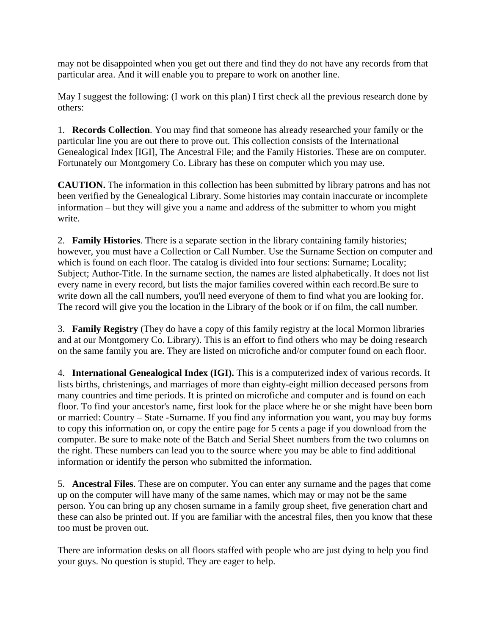may not be disappointed when you get out there and find they do not have any records from that particular area. And it will enable you to prepare to work on another line.

May I suggest the following: (I work on this plan) I first check all the previous research done by others:

1. **Records Collection**. You may find that someone has already researched your family or the particular line you are out there to prove out. This collection consists of the International Genealogical Index [IGI], The Ancestral File; and the Family Histories. These are on computer. Fortunately our Montgomery Co. Library has these on computer which you may use.

**CAUTION.** The information in this collection has been submitted by library patrons and has not been verified by the Genealogical Library. Some histories may contain inaccurate or incomplete information – but they will give you a name and address of the submitter to whom you might write.

2. **Family Histories**. There is a separate section in the library containing family histories; however, you must have a Collection or Call Number. Use the Surname Section on computer and which is found on each floor. The catalog is divided into four sections: Surname; Locality; Subject; Author-Title. In the surname section, the names are listed alphabetically. It does not list every name in every record, but lists the major families covered within each record.Be sure to write down all the call numbers, you'll need everyone of them to find what you are looking for. The record will give you the location in the Library of the book or if on film, the call number.

3. **Family Registry** (They do have a copy of this family registry at the local Mormon libraries and at our Montgomery Co. Library). This is an effort to find others who may be doing research on the same family you are. They are listed on microfiche and/or computer found on each floor.

4. **International Genealogical Index (IGI).** This is a computerized index of various records. It lists births, christenings, and marriages of more than eighty-eight million deceased persons from many countries and time periods. It is printed on microfiche and computer and is found on each floor. To find your ancestor's name, first look for the place where he or she might have been born or married: Country – State -Surname. If you find any information you want, you may buy forms to copy this information on, or copy the entire page for 5 cents a page if you download from the computer. Be sure to make note of the Batch and Serial Sheet numbers from the two columns on the right. These numbers can lead you to the source where you may be able to find additional information or identify the person who submitted the information.

5. **Ancestral Files**. These are on computer. You can enter any surname and the pages that come up on the computer will have many of the same names, which may or may not be the same person. You can bring up any chosen surname in a family group sheet, five generation chart and these can also be printed out. If you are familiar with the ancestral files, then you know that these too must be proven out.

There are information desks on all floors staffed with people who are just dying to help you find your guys. No question is stupid. They are eager to help.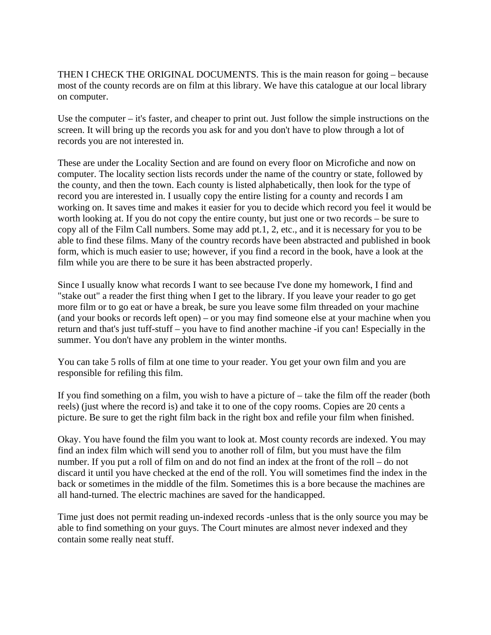THEN I CHECK THE ORIGINAL DOCUMENTS. This is the main reason for going – because most of the county records are on film at this library. We have this catalogue at our local library on computer.

Use the computer – it's faster, and cheaper to print out. Just follow the simple instructions on the screen. It will bring up the records you ask for and you don't have to plow through a lot of records you are not interested in.

These are under the Locality Section and are found on every floor on Microfiche and now on computer. The locality section lists records under the name of the country or state, followed by the county, and then the town. Each county is listed alphabetically, then look for the type of record you are interested in. I usually copy the entire listing for a county and records I am working on. It saves time and makes it easier for you to decide which record you feel it would be worth looking at. If you do not copy the entire county, but just one or two records – be sure to copy all of the Film Call numbers. Some may add pt.1, 2, etc., and it is necessary for you to be able to find these films. Many of the country records have been abstracted and published in book form, which is much easier to use; however, if you find a record in the book, have a look at the film while you are there to be sure it has been abstracted properly.

Since I usually know what records I want to see because I've done my homework, I find and "stake out" a reader the first thing when I get to the library. If you leave your reader to go get more film or to go eat or have a break, be sure you leave some film threaded on your machine (and your books or records left open) – or you may find someone else at your machine when you return and that's just tuff-stuff – you have to find another machine -if you can! Especially in the summer. You don't have any problem in the winter months.

You can take 5 rolls of film at one time to your reader. You get your own film and you are responsible for refiling this film.

If you find something on a film, you wish to have a picture of – take the film off the reader (both reels) (just where the record is) and take it to one of the copy rooms. Copies are 20 cents a picture. Be sure to get the right film back in the right box and refile your film when finished.

Okay. You have found the film you want to look at. Most county records are indexed. You may find an index film which will send you to another roll of film, but you must have the film number. If you put a roll of film on and do not find an index at the front of the roll – do not discard it until you have checked at the end of the roll. You will sometimes find the index in the back or sometimes in the middle of the film. Sometimes this is a bore because the machines are all hand-turned. The electric machines are saved for the handicapped.

Time just does not permit reading un-indexed records -unless that is the only source you may be able to find something on your guys. The Court minutes are almost never indexed and they contain some really neat stuff.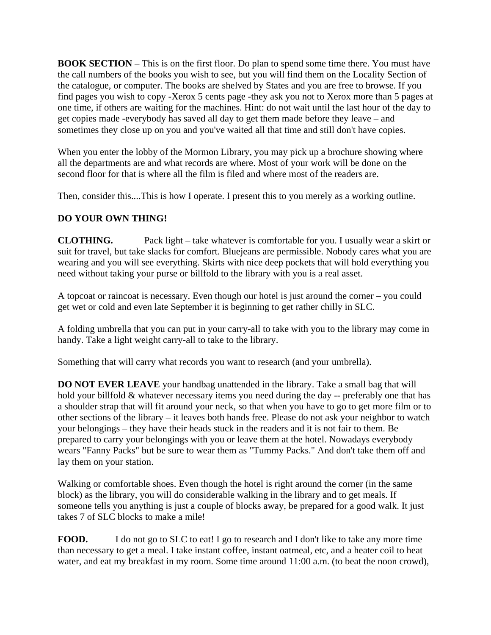**BOOK SECTION** – This is on the first floor. Do plan to spend some time there. You must have the call numbers of the books you wish to see, but you will find them on the Locality Section of the catalogue, or computer. The books are shelved by States and you are free to browse. If you find pages you wish to copy -Xerox 5 cents page -they ask you not to Xerox more than 5 pages at one time, if others are waiting for the machines. Hint: do not wait until the last hour of the day to get copies made -everybody has saved all day to get them made before they leave – and sometimes they close up on you and you've waited all that time and still don't have copies.

When you enter the lobby of the Mormon Library, you may pick up a brochure showing where all the departments are and what records are where. Most of your work will be done on the second floor for that is where all the film is filed and where most of the readers are.

Then, consider this....This is how I operate. I present this to you merely as a working outline.

## **DO YOUR OWN THING!**

**CLOTHING.** Pack light – take whatever is comfortable for you. I usually wear a skirt or suit for travel, but take slacks for comfort. Bluejeans are permissible. Nobody cares what you are wearing and you will see everything. Skirts with nice deep pockets that will hold everything you need without taking your purse or billfold to the library with you is a real asset.

A topcoat or raincoat is necessary. Even though our hotel is just around the corner – you could get wet or cold and even late September it is beginning to get rather chilly in SLC.

A folding umbrella that you can put in your carry-all to take with you to the library may come in handy. Take a light weight carry-all to take to the library.

Something that will carry what records you want to research (and your umbrella).

**DO NOT EVER LEAVE** your handbag unattended in the library. Take a small bag that will hold your billfold & whatever necessary items you need during the day -- preferably one that has a shoulder strap that will fit around your neck, so that when you have to go to get more film or to other sections of the library – it leaves both hands free. Please do not ask your neighbor to watch your belongings – they have their heads stuck in the readers and it is not fair to them. Be prepared to carry your belongings with you or leave them at the hotel. Nowadays everybody wears "Fanny Packs" but be sure to wear them as "Tummy Packs." And don't take them off and lay them on your station.

Walking or comfortable shoes. Even though the hotel is right around the corner (in the same block) as the library, you will do considerable walking in the library and to get meals. If someone tells you anything is just a couple of blocks away, be prepared for a good walk. It just takes 7 of SLC blocks to make a mile!

**FOOD.** I do not go to SLC to eat! I go to research and I don't like to take any more time than necessary to get a meal. I take instant coffee, instant oatmeal, etc, and a heater coil to heat water, and eat my breakfast in my room. Some time around 11:00 a.m. (to beat the noon crowd),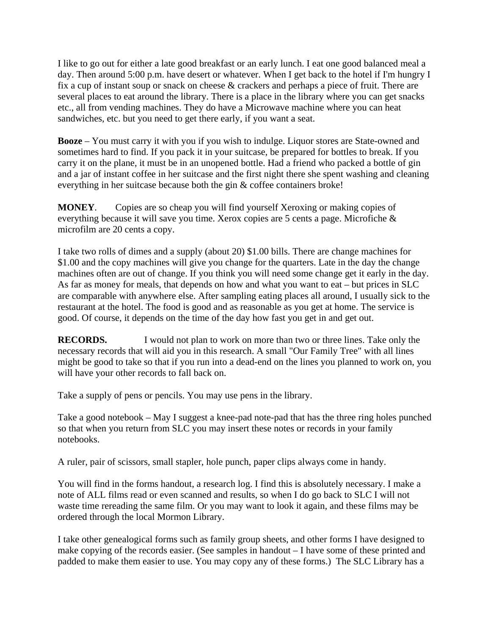I like to go out for either a late good breakfast or an early lunch. I eat one good balanced meal a day. Then around 5:00 p.m. have desert or whatever. When I get back to the hotel if I'm hungry I fix a cup of instant soup or snack on cheese & crackers and perhaps a piece of fruit. There are several places to eat around the library. There is a place in the library where you can get snacks etc., all from vending machines. They do have a Microwave machine where you can heat sandwiches, etc. but you need to get there early, if you want a seat.

**Booze** – You must carry it with you if you wish to indulge. Liquor stores are State-owned and sometimes hard to find. If you pack it in your suitcase, be prepared for bottles to break. If you carry it on the plane, it must be in an unopened bottle. Had a friend who packed a bottle of gin and a jar of instant coffee in her suitcase and the first night there she spent washing and cleaning everything in her suitcase because both the gin & coffee containers broke!

**MONEY**. Copies are so cheap you will find yourself Xeroxing or making copies of everything because it will save you time. Xerox copies are 5 cents a page. Microfiche & microfilm are 20 cents a copy.

I take two rolls of dimes and a supply (about 20) \$1.00 bills. There are change machines for \$1.00 and the copy machines will give you change for the quarters. Late in the day the change machines often are out of change. If you think you will need some change get it early in the day. As far as money for meals, that depends on how and what you want to eat – but prices in SLC are comparable with anywhere else. After sampling eating places all around, I usually sick to the restaurant at the hotel. The food is good and as reasonable as you get at home. The service is good. Of course, it depends on the time of the day how fast you get in and get out.

**RECORDS.** I would not plan to work on more than two or three lines. Take only the necessary records that will aid you in this research. A small "Our Family Tree" with all lines might be good to take so that if you run into a dead-end on the lines you planned to work on, you will have your other records to fall back on.

Take a supply of pens or pencils. You may use pens in the library.

Take a good notebook – May I suggest a knee-pad note-pad that has the three ring holes punched so that when you return from SLC you may insert these notes or records in your family notebooks.

A ruler, pair of scissors, small stapler, hole punch, paper clips always come in handy.

You will find in the forms handout, a research log. I find this is absolutely necessary. I make a note of ALL films read or even scanned and results, so when I do go back to SLC I will not waste time rereading the same film. Or you may want to look it again, and these films may be ordered through the local Mormon Library.

I take other genealogical forms such as family group sheets, and other forms I have designed to make copying of the records easier. (See samples in handout – I have some of these printed and padded to make them easier to use. You may copy any of these forms.) The SLC Library has a